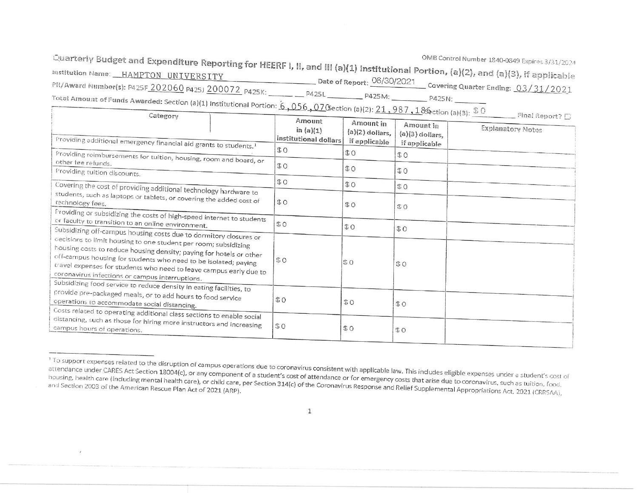Quarterly Budget and Expenditure Reporting for HEERF I, II, and III (a)(1) Institutional Portion, (a)(2), and (a)(3), if applicable Date of Report:  $\frac{06/30/2021}{200}$  Covering Quarter Ending:  $\frac{03/31/2021}{200}$ PR/Award Number(s): P425F\_202060 P425J 200072 P425K: \_\_\_\_\_ P425L P425M: \_\_\_\_\_ P425M: \_\_\_\_\_ P425N: \_\_\_\_\_ Total Amount of Funds Awarded: Section (a)(1) Institutional Portion:  $6,056,07$ Osection (a)(2):  $21,987,18$ Gection (a)(3):  $\$$  0

|  | Final Report $\Sigma$ |  |
|--|-----------------------|--|
|  |                       |  |

| $     +$ $+$ $+$<br>Providing additional emergency financial aid grants to students. <sup>1</sup>                                                                                                                                                                                                                                                                                                       | Amount<br>in $(a)(1)$<br>institutional dollars | Amount in<br>$(a)(2)$ dollars,<br>if applicable | Amount in<br>$(a)(3)$ dollars,<br>if applicable | <b>Explanatory Notes</b> |
|---------------------------------------------------------------------------------------------------------------------------------------------------------------------------------------------------------------------------------------------------------------------------------------------------------------------------------------------------------------------------------------------------------|------------------------------------------------|-------------------------------------------------|-------------------------------------------------|--------------------------|
| Providing reimbursements for tuition, housing, room and board, or                                                                                                                                                                                                                                                                                                                                       | \$0\$                                          | \$0                                             | \$0                                             |                          |
| other fee refunds.<br>Providing tuition discounts.                                                                                                                                                                                                                                                                                                                                                      | \$0                                            | \$0                                             | \$0                                             |                          |
| Covering the cost of providing additional technology hardware to                                                                                                                                                                                                                                                                                                                                        | \$0                                            | \$0                                             | \$0                                             |                          |
| students, such as laptops or tablets, or covering the added cost of<br>technology fees.                                                                                                                                                                                                                                                                                                                 | \$0                                            | O                                               | \$0                                             |                          |
| Providing or subsidizing the costs of high-speed internet to students<br>or faculty to transition to an online environment.                                                                                                                                                                                                                                                                             | \$0                                            | $\updownarrow$ O                                | \$0                                             |                          |
| Subsidizing off-campus housing costs due to dormitory closures or<br>decisions to limit housing to one student per room; subsidizing<br>housing costs to reduce housing density; paying for hotels or other<br>off-campus housing for students who need to be isolated; paying<br>travel expenses for students who need to leave campus early due to<br>coronavirus infections or campus interruptions. | \$0                                            | \$0                                             | \$0                                             |                          |
| Subsidizing food service to reduce density in eating facilities, to<br>provide pre-packaged meals, or to add hours to food service<br>operations to accommodate social distancing.                                                                                                                                                                                                                      | \$0                                            | \$0                                             | \$0                                             |                          |
| Costs related to operating additional class sections to enable social<br>distancing, such as those for hiring more instructors and increasing<br>campus hours of operations.                                                                                                                                                                                                                            | \$0                                            | \$0                                             | \$0                                             |                          |

<sup>&</sup>lt;sup>1</sup> To support expenses related to the disruption of campus operations due to coronavirus consistent with applicable law. This includes eligible expenses under a student's cost of attendance under CARES Act Section 18004(c), or any component of a student's cost of attendance or for emergency costs that arise due to coronavirus, such as tuition, food. housing, health care (including mental health care), or child care, per Section 314(c) of the Coronavirus Response and Relief Supplemental Appropriations Act, 2021 (CRRSAA),